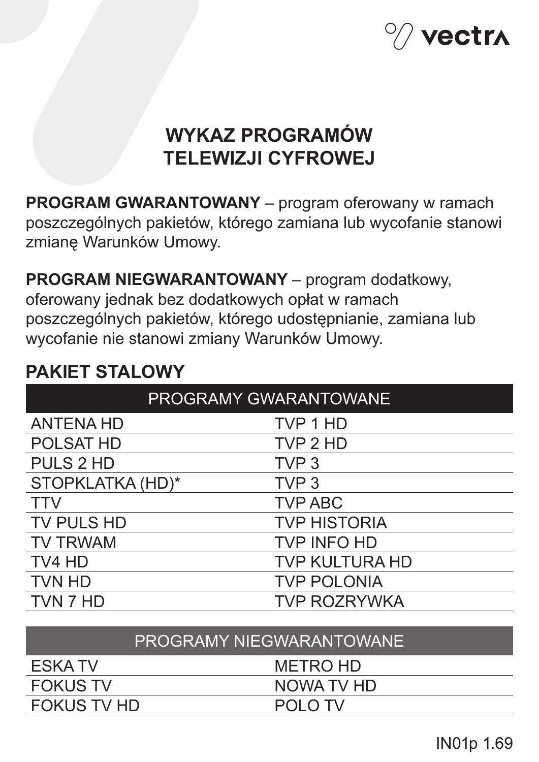

# **WYKAZ PROGRAMÓW TELEWIZJI CYFROWEJ**

**PROGRAM GWARANTOWANY** – program oferowany w ramach poszczególnych pakietów, którego zamiana lub wycofanie stanowi zmianę Warunków Umowy.

**PROGRAM NIEGWARANTOWANY** – program dodatkowy, oferowany jednak bez dodatkowych opłat w ramach poszczególnych pakietów, którego udostępnianie, zamiana lub wycofanie nie stanowi zmiany Warunków Umowy.

# **PAKIET STALOWY**

| <b>PROGRAMY GWARANTOWANE</b> |                       |
|------------------------------|-----------------------|
| <b>ANTENA HD</b>             | TVP 1 HD              |
| <b>POLSAT HD</b>             | TVP 2 HD              |
| <b>PULS 2 HD</b>             | TVP <sub>3</sub>      |
| STOPKLATKA (HD)*             | TVP <sub>3</sub>      |
| <b>TTV</b>                   | <b>TVP ABC</b>        |
| TV PULS HD                   | <b>TVP HISTORIA</b>   |
| <b>TV TRWAM</b>              | <b>TVP INFO HD</b>    |
| TV4 HD                       | <b>TVP KULTURA HD</b> |
| <b>TVN HD</b>                | <b>TVP POLONIA</b>    |
| TVN 7 HD                     | <b>TVP ROZRYWKA</b>   |
|                              |                       |

| PROGRAMY NIEGWARANTOWANE |            |  |
|--------------------------|------------|--|
| ESKA TV                  | METRO HD   |  |
| <b>FOKUS TV</b>          | NOWA TV HD |  |
| <b>FOKUS TV HD</b>       | POI O TV   |  |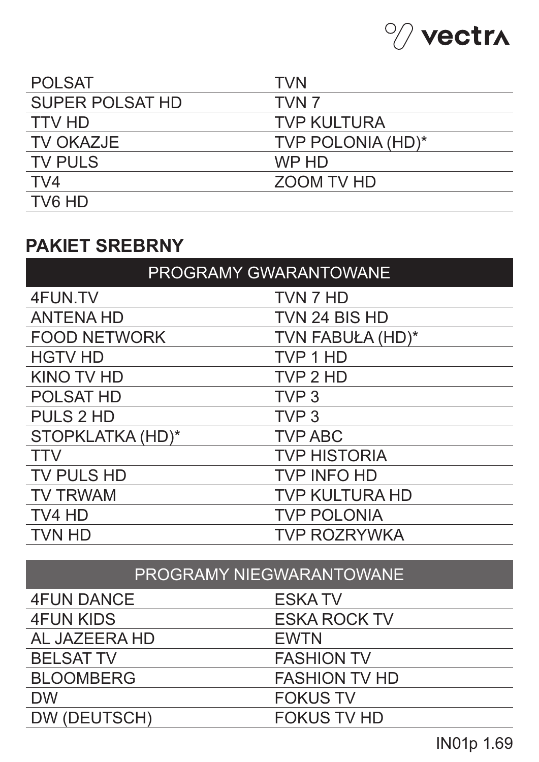

| <b>POLSAT</b>          | <b>TVN</b>         |
|------------------------|--------------------|
| <b>SUPER POLSAT HD</b> | TVN <sub>7</sub>   |
| <b>TTV HD</b>          | <b>TVP KULTURA</b> |
| <b>TV OKAZJE</b>       | TVP POLONIA (HD)*  |
| <b>TV PULS</b>         | WP HD              |
| TV4                    | ZOOM TV HD         |
| TV6 HD                 |                    |

### **PAKIET SREBRNY**

| <b>PROGRAMY GWARANTOWANE</b> |                       |  |
|------------------------------|-----------------------|--|
| 4FUN.TV                      | TVN 7 HD              |  |
| <b>ANTENA HD</b>             | TVN 24 BIS HD         |  |
| <b>FOOD NETWORK</b>          | TVN FABUŁA (HD)*      |  |
| <b>HGTV HD</b>               | TVP 1 HD              |  |
| <b>KINO TV HD</b>            | TVP 2 HD              |  |
| <b>POLSAT HD</b>             | TVP <sub>3</sub>      |  |
| <b>PULS 2 HD</b>             | TVP <sub>3</sub>      |  |
| STOPKLATKA (HD)*             | <b>TVP ABC</b>        |  |
| <b>TTV</b>                   | <b>TVP HISTORIA</b>   |  |
| <b>TV PULS HD</b>            | <b>TVP INFO HD</b>    |  |
| <b>TV TRWAM</b>              | <b>TVP KULTURA HD</b> |  |
| TV4 HD                       | <b>TVP POLONIA</b>    |  |
| <b>TVN HD</b>                | <b>TVP ROZRYWKA</b>   |  |

# PROGRAMY NIEGWARANTOWANE

| <b>4FUN DANCE</b> | <b>ESKATV</b>        |
|-------------------|----------------------|
| <b>4FUN KIDS</b>  | <b>ESKA ROCK TV</b>  |
| AL JAZEERA HD     | <b>EWTN</b>          |
| <b>BELSAT TV</b>  | <b>FASHION TV</b>    |
| <b>BLOOMBERG</b>  | <b>FASHION TV HD</b> |
| <b>DW</b>         | <b>FOKUS TV</b>      |
| DW (DEUTSCH)      | <b>FOKUS TV HD</b>   |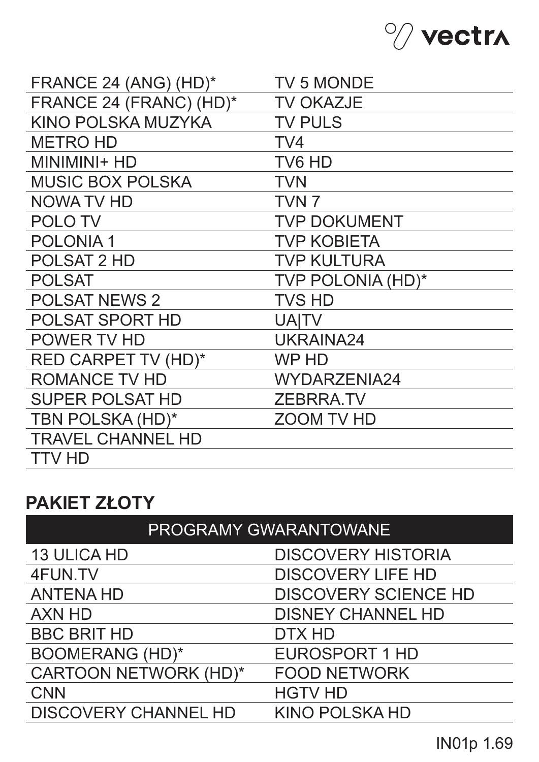

| FRANCE 24 (ANG) (HD)*      | <b>TV 5 MONDE</b>   |
|----------------------------|---------------------|
| FRANCE 24 (FRANC) (HD)*    | <b>TV OKAZJE</b>    |
| KINO POLSKA MUZYKA         | <b>TV PULS</b>      |
| <b>METRO HD</b>            | TV <sub>4</sub>     |
| MINIMINI+ HD               | TV6 HD              |
| <b>MUSIC BOX POLSKA</b>    | <b>TVN</b>          |
| <b>NOWA TV HD</b>          | TVN <sub>7</sub>    |
| <b>POLOTV</b>              | <b>TVP DOKUMENT</b> |
| <b>POLONIA1</b>            | <b>TVP KOBIETA</b>  |
| <b>POLSAT 2 HD</b>         | <b>TVP KULTURA</b>  |
| <b>POLSAT</b>              | TVP POLONIA (HD)*   |
| <b>POLSAT NEWS 2</b>       | <b>TVS HD</b>       |
| <b>POLSAT SPORT HD</b>     | <b>UAITV</b>        |
| POWER TV HD                | UKRAINA24           |
| <b>RED CARPET TV (HD)*</b> | WP HD               |
| <b>ROMANCE TV HD</b>       | <b>WYDARZENIA24</b> |
| <b>SUPER POLSAT HD</b>     | <b>ZEBRRA.TV</b>    |
| TBN POLSKA (HD)*           | <b>ZOOM TV HD</b>   |
| <b>TRAVEL CHANNEL HD</b>   |                     |
| <b>TTV HD</b>              |                     |

## **PAKIET ZŁOTY**

| PROGRAMY GWARANTOWANE        |                             |  |
|------------------------------|-----------------------------|--|
| <b>13 ULICA HD</b>           | <b>DISCOVERY HISTORIA</b>   |  |
| 4FUN.TV                      | <b>DISCOVERY LIFE HD</b>    |  |
| <b>ANTENA HD</b>             | <b>DISCOVERY SCIENCE HD</b> |  |
| <b>AXN HD</b>                | <b>DISNEY CHANNEL HD</b>    |  |
| <b>BBC BRIT HD</b>           | DTX HD                      |  |
| <b>BOOMERANG (HD)*</b>       | <b>EUROSPORT 1 HD</b>       |  |
| <b>CARTOON NETWORK (HD)*</b> | <b>FOOD NETWORK</b>         |  |
| <b>CNN</b>                   | <b>HGTV HD</b>              |  |
| <b>DISCOVERY CHANNEL HD</b>  | <b>KINO POLSKA HD</b>       |  |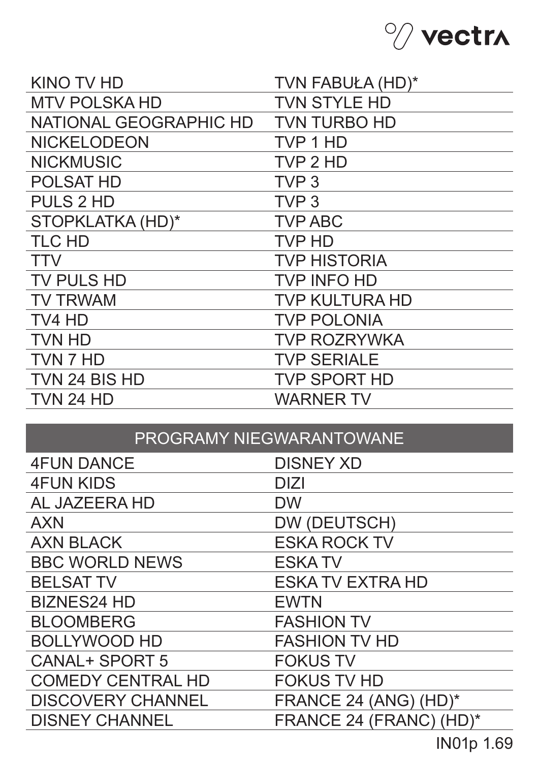

| <b>KINO TV HD</b>      | TVN FABUŁA (HD)*      |
|------------------------|-----------------------|
| <b>MTV POLSKA HD</b>   | <b>TVN STYLE HD</b>   |
| NATIONAL GEOGRAPHIC HD | <b>TVN TURBO HD</b>   |
| <b>NICKELODEON</b>     | TVP 1 HD              |
| <b>NICKMUSIC</b>       | TVP 2 HD              |
| <b>POLSAT HD</b>       | TVP <sub>3</sub>      |
| <b>PULS 2 HD</b>       | TVP <sub>3</sub>      |
| STOPKLATKA (HD)*       | <b>TVP ABC</b>        |
| <b>TLC HD</b>          | <b>TVP HD</b>         |
| <b>TTV</b>             | <b>TVP HISTORIA</b>   |
| <b>TV PULS HD</b>      | <b>TVP INFO HD</b>    |
| <b>TV TRWAM</b>        | <b>TVP KULTURA HD</b> |
| TV4 HD                 | <b>TVP POLONIA</b>    |
| <b>TVN HD</b>          | <b>TVP ROZRYWKA</b>   |
| TVN 7 HD               | <b>TVP SERIALE</b>    |
| TVN 24 BIS HD          | <b>TVP SPORT HD</b>   |
| <b>TVN 24 HD</b>       | <b>WARNER TV</b>      |

|  | <b>IPROGRAMY NIEGWARANTOWANE</b> |
|--|----------------------------------|
|--|----------------------------------|

| <b>4FUN DANCE</b>        | <b>DISNEY XD</b>        |
|--------------------------|-------------------------|
| <b>4FUN KIDS</b>         | <b>DIZI</b>             |
| AL JAZEERA HD            | <b>DW</b>               |
| <b>AXN</b>               | DW (DEUTSCH)            |
| <b>AXN BLACK</b>         | <b>ESKA ROCK TV</b>     |
| <b>BBC WORLD NEWS</b>    | <b>ESKATV</b>           |
| <b>BELSAT TV</b>         | <b>ESKA TV EXTRA HD</b> |
| <b>BIZNES24 HD</b>       | <b>EWTN</b>             |
| <b>BLOOMBERG</b>         | <b>FASHION TV</b>       |
| <b>BOLLYWOOD HD</b>      | <b>FASHION TV HD</b>    |
| <b>CANAL+ SPORT 5</b>    | <b>FOKUS TV</b>         |
| <b>COMEDY CENTRAL HD</b> | <b>FOKUS TV HD</b>      |
| <b>DISCOVERY CHANNEL</b> | FRANCE 24 (ANG) (HD)*   |
| <b>DISNEY CHANNEL</b>    | FRANCE 24 (FRANC) (HD)* |
|                          |                         |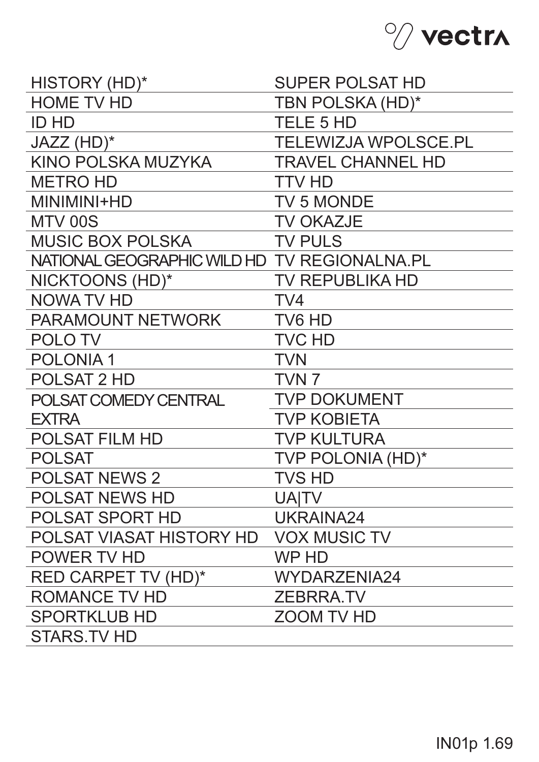

| HISTORY (HD)*                                | <b>SUPER POLSAT HD</b>      |
|----------------------------------------------|-----------------------------|
| <b>HOME TV HD</b>                            | TBN POLSKA (HD)*            |
| <b>ID HD</b>                                 | <b>TELE 5 HD</b>            |
| JAZZ (HD)*                                   | <b>TELEWIZJA WPOLSCE.PL</b> |
| KINO POLSKA MUZYKA                           | <b>TRAVEL CHANNEL HD</b>    |
| <b>METRO HD</b>                              | <b>TTV HD</b>               |
| MINIMINI+HD                                  | <b>TV 5 MONDE</b>           |
| MTV 00S                                      | <b>TV OKAZJE</b>            |
| <b>MUSIC BOX POLSKA</b>                      | <b>TV PULS</b>              |
| NATIONAL GEOGRAPHIC WILD HD TV REGIONALNA.PL |                             |
| NICKTOONS (HD)*                              | <b>TV REPUBLIKA HD</b>      |
| NOWA TV HD                                   | TV <sub>4</sub>             |
| PARAMOUNT NETWORK                            | TV6 HD                      |
| <b>POLOTV</b>                                | <b>TVC HD</b>               |
| <b>POLONIA1</b>                              | <b>TVN</b>                  |
| <b>POLSAT 2 HD</b>                           | TVN <sub>7</sub>            |
| POLSAT COMEDY CENTRAL                        | <b>TVP DOKUMENT</b>         |
| <b>EXTRA</b>                                 | <b>TVP KOBIETA</b>          |
| <b>POLSAT FILM HD</b>                        | <b>TVP KULTURA</b>          |
| <b>POLSAT</b>                                | <b>TVP POLONIA (HD)*</b>    |
| <b>POLSAT NEWS 2</b>                         | <b>TVS HD</b>               |
| <b>POLSAT NEWS HD</b>                        | <b>UAITV</b>                |
| <b>POLSAT SPORT HD</b>                       | UKRAINA24                   |
| POLSAT VIASAT HISTORY HD                     | <b>VOX MUSIC TV</b>         |
| POWER TV HD                                  | WP HD                       |
| <b>RED CARPET TV (HD)*</b>                   | <b>WYDARZENIA24</b>         |
| <b>ROMANCE TV HD</b>                         | <b>ZEBRRA.TV</b>            |
| <b>SPORTKLUB HD</b>                          | <b>ZOOM TV HD</b>           |
| <b>STARS.TV HD</b>                           |                             |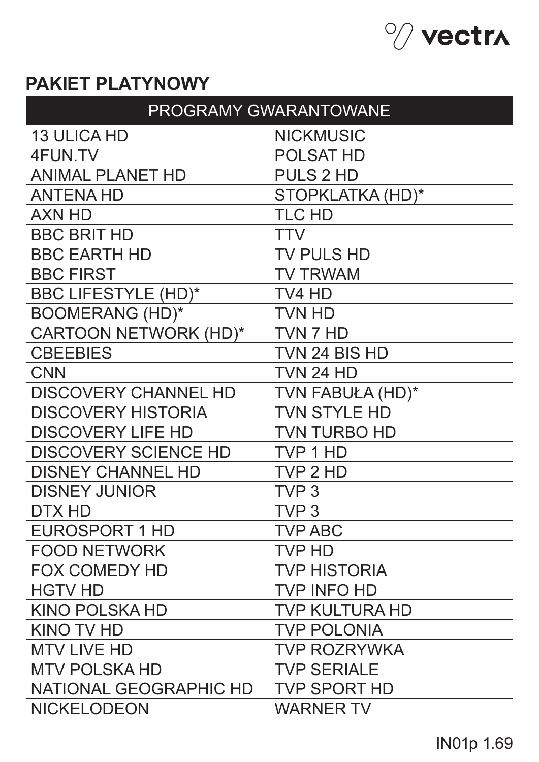

# **PAKIET PLATYNOWY**

| PROGRAMY GWARANTOWANE       |                       |  |
|-----------------------------|-----------------------|--|
| <b>13 ULICA HD</b>          | <b>NICKMUSIC</b>      |  |
| 4FUN.TV                     | <b>POLSAT HD</b>      |  |
| <b>ANIMAL PLANET HD</b>     | <b>PULS 2 HD</b>      |  |
| <b>ANTENA HD</b>            | STOPKLATKA (HD)*      |  |
| <b>AXN HD</b>               | <b>TLC HD</b>         |  |
| <b>BBC BRIT HD</b>          | <b>TTV</b>            |  |
| <b>BBC EARTH HD</b>         | <b>TV PULS HD</b>     |  |
| <b>BBC FIRST</b>            | <b>TV TRWAM</b>       |  |
| <b>BBC LIFESTYLE (HD)*</b>  | TV4 HD                |  |
| <b>BOOMERANG (HD)*</b>      | <b>TVN HD</b>         |  |
| CARTOON NETWORK (HD)*       | TVN 7 HD              |  |
| <b>CBEEBIES</b>             | TVN 24 BIS HD         |  |
| <b>CNN</b>                  | <b>TVN 24 HD</b>      |  |
| <b>DISCOVERY CHANNEL HD</b> | TVN FABUŁA (HD)*      |  |
| <b>DISCOVERY HISTORIA</b>   | <b>TVN STYLE HD</b>   |  |
| <b>DISCOVERY LIFE HD</b>    | <b>TVN TURBO HD</b>   |  |
| <b>DISCOVERY SCIENCE HD</b> | TVP 1 HD              |  |
| <b>DISNEY CHANNEL HD</b>    | TVP 2 HD              |  |
| <b>DISNEY JUNIOR</b>        | TVP <sub>3</sub>      |  |
| DTX HD                      | TVP 3                 |  |
| <b>EUROSPORT 1 HD</b>       | <b>TVP ABC</b>        |  |
| <b>FOOD NETWORK</b>         | <b>TVP HD</b>         |  |
| <b>FOX COMEDY HD</b>        | <b>TVP HISTORIA</b>   |  |
| <b>HGTV HD</b>              | <b>TVP INFO HD</b>    |  |
| <b>KINO POLSKA HD</b>       | <b>TVP KULTURA HD</b> |  |
| <b>KINO TV HD</b>           | <b>TVP POLONIA</b>    |  |
| <b>MTV LIVE HD</b>          | <b>TVP ROZRYWKA</b>   |  |
| <b>MTV POLSKA HD</b>        | <b>TVP SERIALE</b>    |  |
| NATIONAL GEOGRAPHIC HD      | <b>TVP SPORT HD</b>   |  |
| <b>NICKELODEON</b>          | <b>WARNER TV</b>      |  |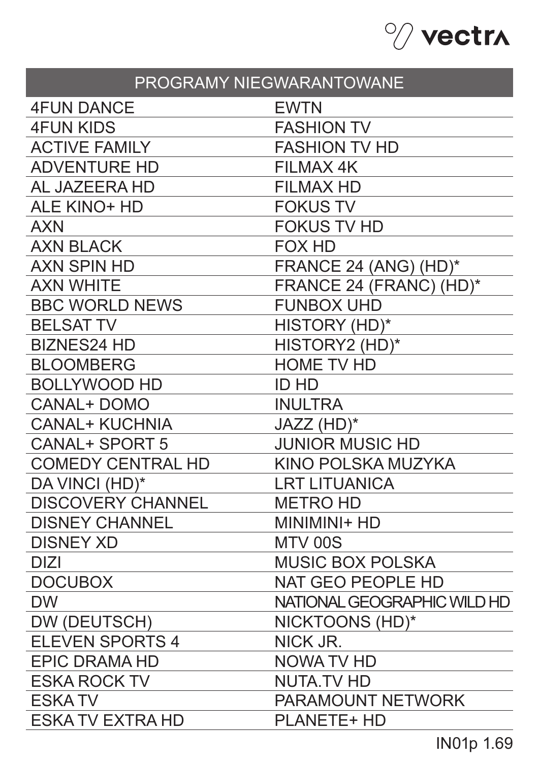

| PROGRAMY NIEGWARANTOWANE |                             |  |
|--------------------------|-----------------------------|--|
| <b>4FUN DANCE</b>        | <b>EWTN</b>                 |  |
| <b>4FUN KIDS</b>         | <b>FASHION TV</b>           |  |
| <b>ACTIVE FAMILY</b>     | <b>FASHION TV HD</b>        |  |
| <b>ADVENTURE HD</b>      | <b>FILMAX 4K</b>            |  |
| AL JAZEERA HD            | <b>FILMAX HD</b>            |  |
| <b>ALE KINO+ HD</b>      | <b>FOKUS TV</b>             |  |
| <b>AXN</b>               | <b>FOKUS TV HD</b>          |  |
| <b>AXN BLACK</b>         | <b>FOX HD</b>               |  |
| <b>AXN SPIN HD</b>       | FRANCE 24 (ANG) (HD)*       |  |
| <b>AXN WHITE</b>         | FRANCE 24 (FRANC) (HD)*     |  |
| <b>BBC WORLD NEWS</b>    | <b>FUNBOX UHD</b>           |  |
| <b>BELSAT TV</b>         | HISTORY (HD)*               |  |
| <b>BIZNES24 HD</b>       | HISTORY2 (HD)*              |  |
| <b>BLOOMBERG</b>         | <b>HOME TV HD</b>           |  |
| <b>BOLLYWOOD HD</b>      | <b>ID HD</b>                |  |
| <b>CANAL+ DOMO</b>       | <b>INULTRA</b>              |  |
| <b>CANAL+ KUCHNIA</b>    | JAZZ (HD)*                  |  |
| <b>CANAL+ SPORT 5</b>    | <b>JUNIOR MUSIC HD</b>      |  |
| <b>COMEDY CENTRAL HD</b> | KINO POLSKA MUZYKA          |  |
| DA VINCI (HD)*           | <b>LRT LITUANICA</b>        |  |
| <b>DISCOVERY CHANNEL</b> | <b>METRO HD</b>             |  |
| <b>DISNEY CHANNEL</b>    | MINIMINI+ HD                |  |
| <b>DISNEY XD</b>         | MTV 00S                     |  |
| <b>DIZI</b>              | <b>MUSIC BOX POLSKA</b>     |  |
| <b>DOCUBOX</b>           | <b>NAT GEO PEOPLE HD</b>    |  |
| <b>DW</b>                | NATIONAL GEOGRAPHIC WILD HD |  |
| DW (DEUTSCH)             | NICKTOONS (HD)*             |  |
| <b>ELEVEN SPORTS 4</b>   | NICK JR.                    |  |
| <b>EPIC DRAMA HD</b>     | NOWA TV HD                  |  |
| <b>ESKA ROCK TV</b>      | <b>NUTA.TV HD</b>           |  |
| <b>ESKATV</b>            | <b>PARAMOUNT NETWORK</b>    |  |
| <b>ESKA TV EXTRA HD</b>  | <b>PLANETE+ HD</b>          |  |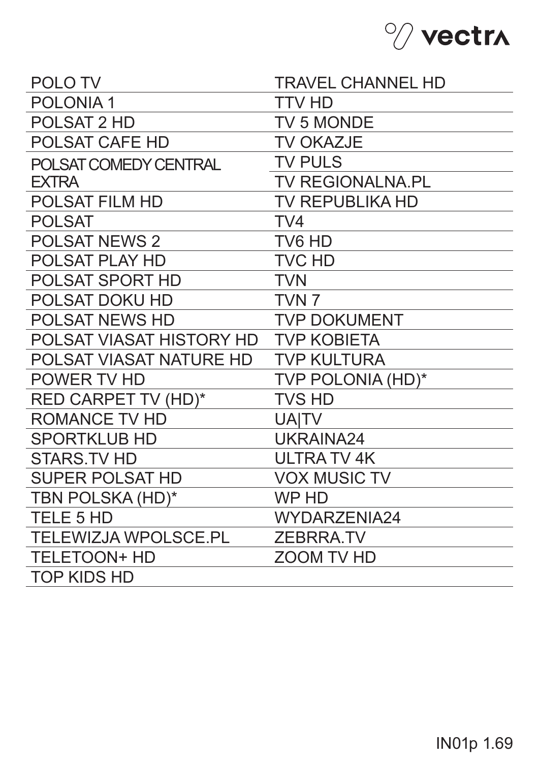

| <b>POLOTV</b>               | <b>TRAVEL CHANNEL HD</b> |
|-----------------------------|--------------------------|
| <b>POLONIA1</b>             | <b>TTV HD</b>            |
| POLSAT 2 HD                 | <b>TV 5 MONDE</b>        |
| <b>POLSAT CAFE HD</b>       | <b>TV OKAZJE</b>         |
| POLSAT COMEDY CENTRAL       | <b>TV PULS</b>           |
| <b>EXTRA</b>                | <b>TV REGIONALNA.PL</b>  |
| <b>POLSAT FILM HD</b>       | <b>TV REPUBLIKA HD</b>   |
| <b>POLSAT</b>               | TV4                      |
| <b>POLSAT NEWS 2</b>        | TV6 HD                   |
| <b>POLSAT PLAY HD</b>       | <b>TVC HD</b>            |
| <b>POLSAT SPORT HD</b>      | <b>TVN</b>               |
| <b>POLSAT DOKU HD</b>       | TVN <sub>7</sub>         |
| <b>POLSAT NEWS HD</b>       | <b>TVP DOKUMENT</b>      |
| POLSAT VIASAT HISTORY HD    | <b>TVP KOBIETA</b>       |
| POLSAT VIASAT NATURE HD     | <b>TVP KULTURA</b>       |
| POWER TV HD                 | <b>TVP POLONIA (HD)*</b> |
| <b>RED CARPET TV (HD)*</b>  | <b>TVS HD</b>            |
| <b>ROMANCE TV HD</b>        | <b>UAITV</b>             |
| <b>SPORTKLUB HD</b>         | UKRAINA24                |
| <b>STARS.TV HD</b>          | ULTRA TV 4K              |
| <b>SUPER POLSAT HD</b>      | <b>VOX MUSIC TV</b>      |
| TBN POLSKA (HD)*            | <b>WP HD</b>             |
| <b>TELE 5 HD</b>            | WYDARZENIA24             |
| <b>TELEWIZJA WPOLSCE.PL</b> | <b>ZEBRRA.TV</b>         |
| <b>TELETOON+ HD</b>         | <b>ZOOM TV HD</b>        |
| <b>TOP KIDS HD</b>          |                          |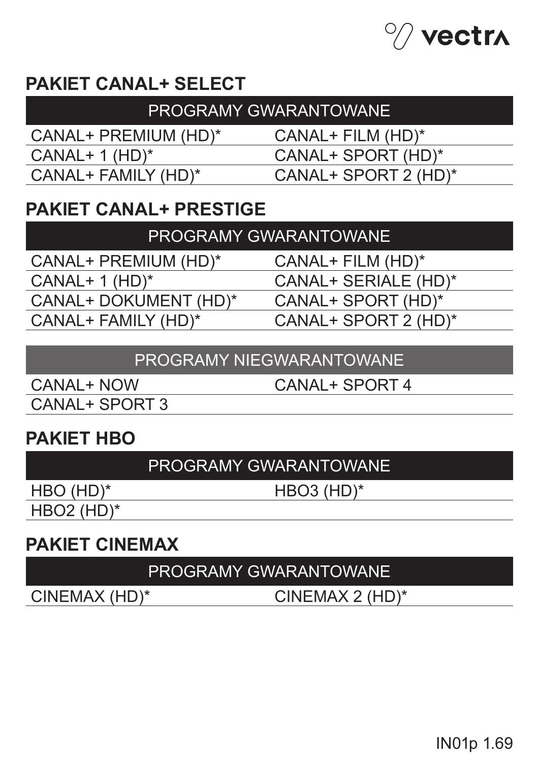

# **PAKIET CANAL+ SELECT**

| PROGRAMY GWARANTOWANE  |                      |  |
|------------------------|----------------------|--|
| CANAL+ PREMIUM (HD)*   | $CANAL+ FILM (HD)^*$ |  |
| $CANAL+ 1 (HD)^*$      | CANAL+ SPORT (HD)*   |  |
| $CANAL+ FAMILY (HD)^*$ | CANAL+ SPORT 2 (HD)* |  |
|                        |                      |  |

## **PAKIET CANAL+ PRESTIGE**

CANAL+ PREMIUM (HD)\*  $CANAL+ 1 (HD)^*$ CANAL+ DOKUMENT (HD)\* CANAL+ FAMILY (HD)\*

CANAL+ FILM (HD)\*

CANAL+ SERIALE (HD)\*

CANAL+ SPORT (HD)\*

CANAL+ SPORT 2 (HD)\*

#### PROGRAMY NIEGWARANTOWANE

CANAL+ NOW CANAL+ SPORT 3 CANAL+ SPORT 4

## **PAKIET HBO**

#### PROGRAMY GWARANTOWANE

HBO (HD)\*

HBO3 (HD)\*

HBO2 (HD)\*

## **PAKIET CINEMAX**

### PROGRAMY GWARANTOWANE

CINEMAX (HD)\* CINEMAX 2 (HD)\*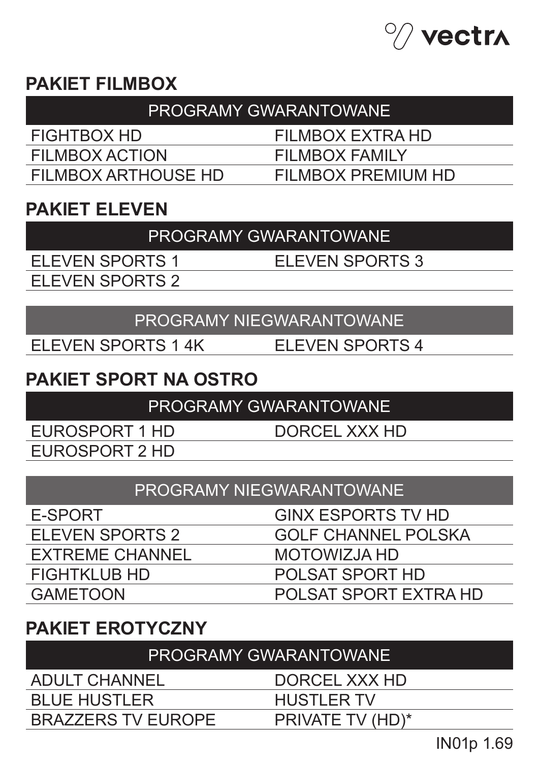

### **PAKIET FILMBOX**

| <b>PROGRAMY GWARANTOWANE</b> |                    |  |
|------------------------------|--------------------|--|
| FIGHTBOX HD                  | FILMBOX EXTRA HD   |  |
| FILMBOX ACTION               | FILMBOX FAMILY     |  |
| FILMBOX ARTHOUSE HD          | FILMBOX PREMIUM HD |  |

### **PAKIET ELEVEN**

PROGRAMY GWARANTOWANE

ELEVEN SPORTS 1 ELEVEN SPORTS 2 ELEVEN SPORTS 3

PROGRAMY NIEGWARANTOWANE

ELEVEN SPORTS 1 4K ELEVEN SPORTS 4

# **PAKIET SPORT NA OSTRO**

PROGRAMY GWARANTOWANE

EUROSPORT 1 HD EUROSPORT 2 HD DORCEL XXX HD

PROGRAMY NIEGWARANTOWANE

| E-SPORT                | <b>GINX ESPORTS TV HD</b>  |
|------------------------|----------------------------|
| ELEVEN SPORTS 2        | <b>GOLF CHANNEL POLSKA</b> |
| <b>EXTREME CHANNEL</b> | MOTOWIZJA HD               |
| <b>FIGHTKLUB HD</b>    | POLSAT SPORT HD            |
| <b>GAMETOON</b>        | POLSAT SPORT EXTRA HD      |

## **PAKIET EROTYCZNY**

BRAZZERS TV EUROPE

PROGRAMY GWARANTOWANE

ADULT CHANNEL BLUE HUSTLER

DORCEL XXX HD HUSTLER TV

PRIVATE TV (HD)\*